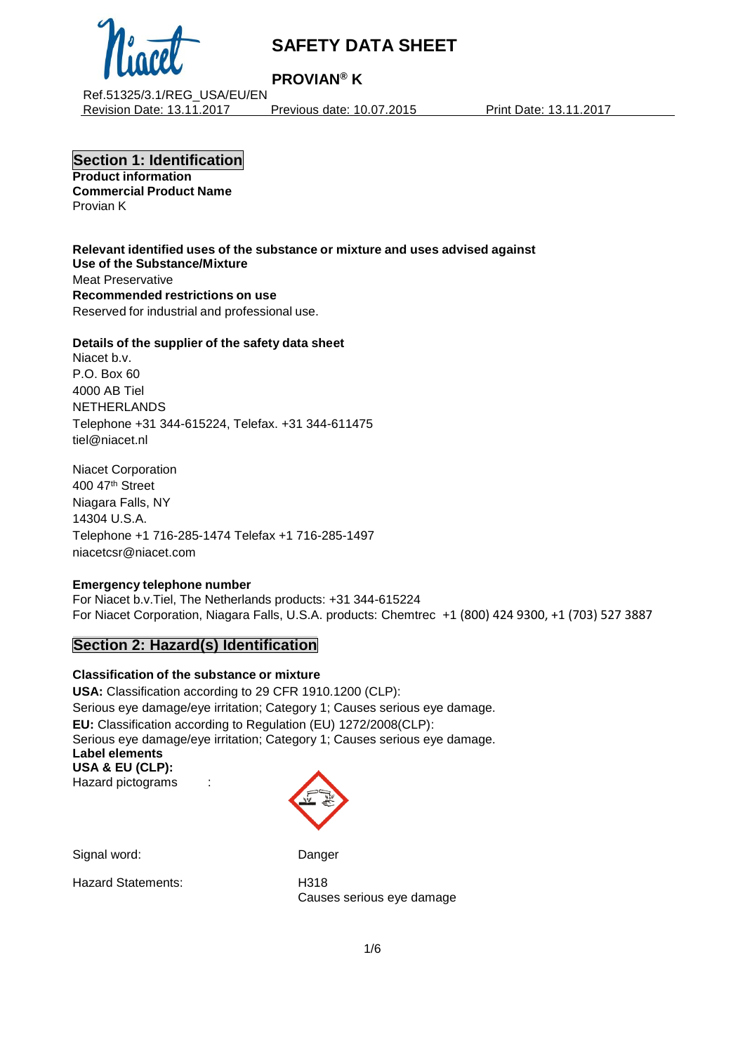

# **PROVIAN® K**

Ref.51325/3.1/REG\_USA/EU/EN Revision Date: 13.11.2017 Previous date: 10.07.2015 Print Date: 13.11.2017

**Section 1: Identification Product information Commercial Product Name**

Provian K

**Relevant identified uses of the substance or mixture and uses advised against Use of the Substance/Mixture** Meat Preservative **Recommended restrictions on use** Reserved for industrial and professional use.

#### **Details of the supplier of the safety data sheet**

Niacet b.v. P.O. Box 60 4000 AB Tiel NETHERLANDS Telephone +31 344-615224, Telefax. +31 344-611475 tiel@niacet.nl

Niacet Corporation 400 47th Street Niagara Falls, NY 14304 U.S.A. Telephone +1 716-285-1474 Telefax +1 716-285-1497 [niacetcsr@niacet.com](mailto:niacetcsr@niacet.com)

#### **Emergency telephone number**

For Niacet b.v.Tiel, The Netherlands products: +31 344-615224 For Niacet Corporation, Niagara Falls, U.S.A. products: Chemtrec +1 (800) 424 9300, +1 (703) 527 3887

## **Section 2: Hazard(s) Identification**

#### **Classification of the substance or mixture**

**USA:** Classification according to 29 CFR 1910.1200 (CLP): Serious eye damage/eye irritation; Category 1; Causes serious eye damage. **EU:** Classification according to Regulation (EU) 1272/2008(CLP): Serious eye damage/eye irritation; Category 1; Causes serious eye damage. **Label elements USA & EU (CLP):** Hazard pictograms :

Signal word: Danger

Hazard Statements: H318

Causes serious eye damage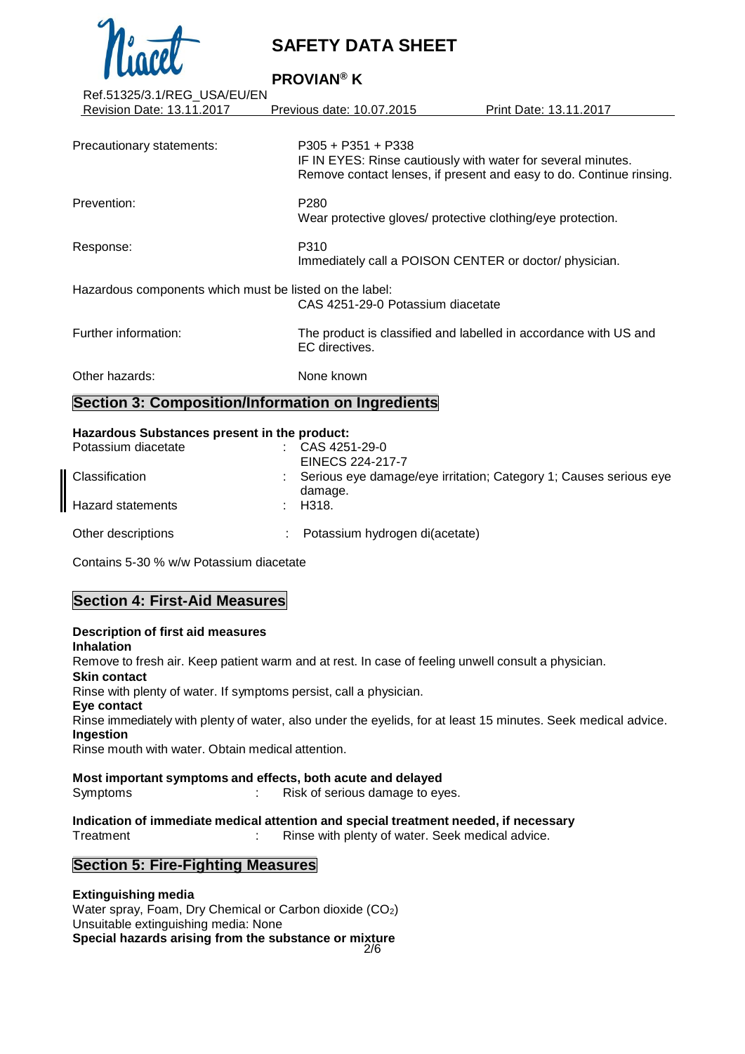

**PROVIAN® K**

| Ref.51325/3.1/REG_USA/EU/EN                             |                                   |                                                                                                                                     |  |
|---------------------------------------------------------|-----------------------------------|-------------------------------------------------------------------------------------------------------------------------------------|--|
| Revision Date: 13.11.2017                               | Previous date: 10.07.2015         | Print Date: 13.11.2017                                                                                                              |  |
|                                                         | $P305 + P351 + P338$              |                                                                                                                                     |  |
| Precautionary statements:                               |                                   | IF IN EYES: Rinse cautiously with water for several minutes.<br>Remove contact lenses, if present and easy to do. Continue rinsing. |  |
| Prevention:                                             | P <sub>280</sub>                  | Wear protective gloves/ protective clothing/eye protection.                                                                         |  |
| Response:                                               | P310                              | Immediately call a POISON CENTER or doctor/ physician.                                                                              |  |
| Hazardous components which must be listed on the label: | CAS 4251-29-0 Potassium diacetate |                                                                                                                                     |  |
| Further information:                                    | EC directives.                    | The product is classified and labelled in accordance with US and                                                                    |  |
| Other hazards:                                          | None known                        |                                                                                                                                     |  |
| Section 3: Composition/Information on Ingredients       |                                   |                                                                                                                                     |  |

#### **Hazardous Substances present in the product:**

| Potassium diacetate | CAS 4251-29-0                                                                |
|---------------------|------------------------------------------------------------------------------|
|                     | EINECS 224-217-7                                                             |
| Classification      | Serious eye damage/eye irritation; Category 1; Causes serious eye<br>damage. |
| Hazard statements   | $\therefore$ H318.                                                           |
| Other descriptions  | Potassium hydrogen di(acetate)                                               |

Contains 5-30 % w/w Potassium diacetate

## **Section 4: First-Aid Measures**

#### **Description of first aid measures Inhalation** Remove to fresh air. Keep patient warm and at rest. In case of feeling unwell consult a physician. **Skin contact** Rinse with plenty of water. If symptoms persist, call a physician. **Eye contact** Rinse immediately with plenty of water, also under the eyelids, for at least 15 minutes. Seek medical advice. **Ingestion** Rinse mouth with water. Obtain medical attention.

# **Most important symptoms and effects, both acute and delayed**

Symptoms : Risk of serious damage to eyes.

**Indication of immediate medical attention and special treatment needed, if necessary** Treatment **in the Communist Communist Communist Communist Communist Communist Communist Communist Communist Communist Communist Communist Communist Communist Communist Communist Communist Communist Communist Communist Comm** 

## **Section 5: Fire-Fighting Measures**

#### 2/6 **Extinguishing media** Water spray, Foam, Dry Chemical or Carbon dioxide (CO2) Unsuitable extinguishing media: None **Special hazards arising from the substance or mixture**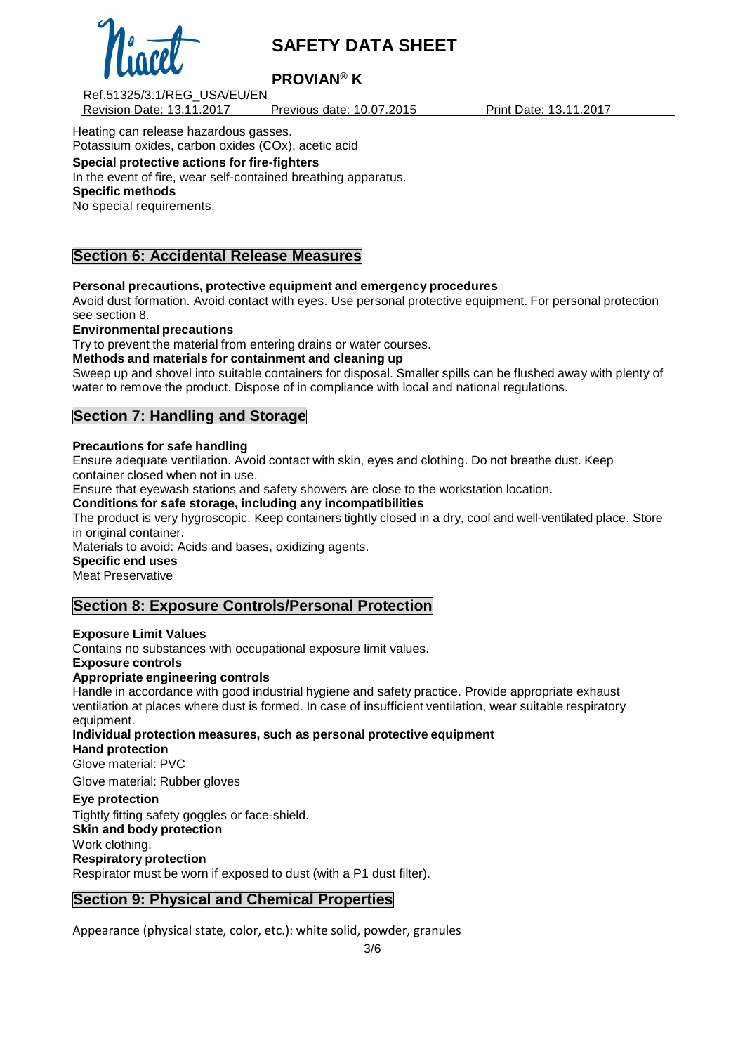

# **PROVIAN® K**

Ref.51325/3.1/REG\_USA/EU/EN Revision Date: 13.11.2017 Previous date: 10.07.2015 Print Date: 13.11.2017

Heating can release hazardous gasses. Potassium oxides, carbon oxides (COx), acetic acid **Special protective actions for fire-fighters**

In the event of fire, wear self-contained breathing apparatus. **Specific methods** No special requirements.

## **Section 6: Accidental Release Measures**

**Personal precautions, protective equipment and emergency procedures**

Avoid dust formation. Avoid contact with eyes. Use personal protective equipment. For personal protection see section 8.

**Environmental precautions**

Try to prevent the material from entering drains or water courses.

**Methods and materials for containment and cleaning up**

Sweep up and shovel into suitable containers for disposal. Smaller spills can be flushed away with plenty of water to remove the product. Dispose of in compliance with local and national regulations.

## **Section 7: Handling and Storage**

#### **Precautions for safe handling**

Ensure adequate ventilation. Avoid contact with skin, eyes and clothing. Do not breathe dust. Keep container closed when not in use.

Ensure that eyewash stations and safety showers are close to the workstation location.

**Conditions for safe storage, including any incompatibilities**

The product is very hygroscopic. Keep containers tightly closed in a dry, cool and well-ventilated place. Store in original container.

Materials to avoid: Acids and bases, oxidizing agents.

**Specific end uses**

Meat Preservative

## **Section 8: Exposure Controls/Personal Protection**

**Exposure Limit Values**

Contains no substances with occupational exposure limit values.

**Exposure controls**

#### **Appropriate engineering controls**

Handle in accordance with good industrial hygiene and safety practice. Provide appropriate exhaust ventilation at places where dust is formed. In case of insufficient ventilation, wear suitable respiratory equipment.

**Individual protection measures, such as personal protective equipment Hand protection** Glove material: PVC

Glove material: Rubber gloves

#### **Eye protection**

Tightly fitting safety goggles or face-shield.

**Skin and body protection**

Work clothing.

**Respiratory protection**

Respirator must be worn if exposed to dust (with a P1 dust filter).

## **Section 9: Physical and Chemical Properties**

Appearance (physical state, color, etc.): white solid, powder, granules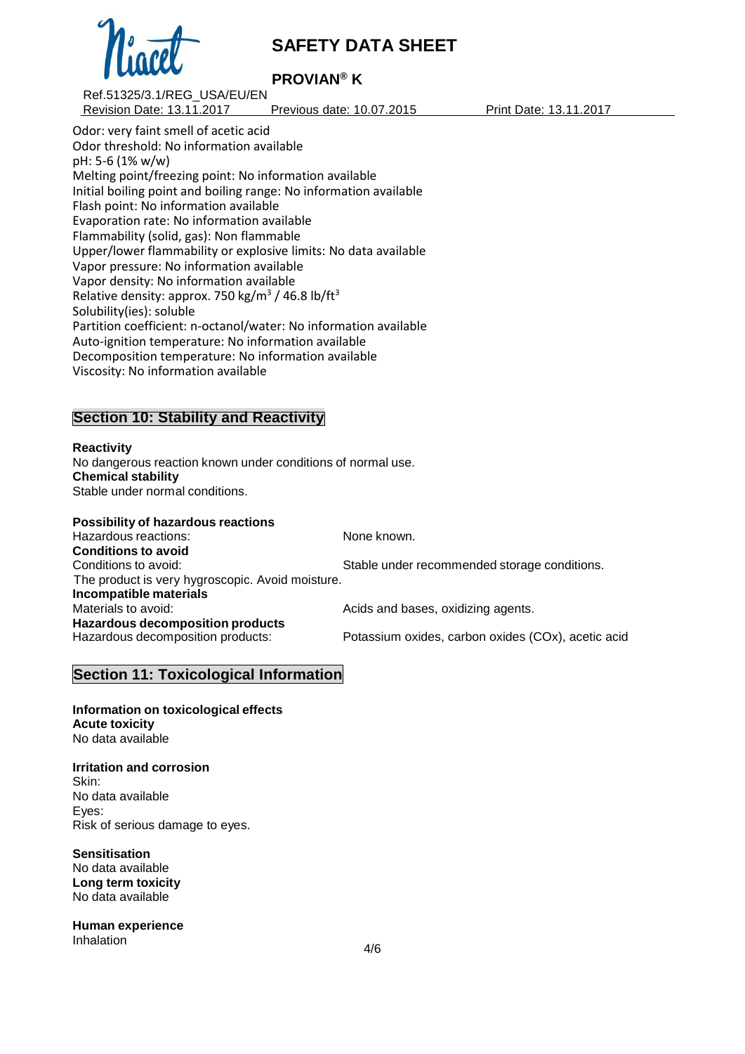

# **PROVIAN® K**

Ref.51325/3.1/REG\_USA/EU/EN Revision Date: 13.11.2017 Previous date: 10.07.2015 Print Date: 13.11.2017

Odor: very faint smell of acetic acid Odor threshold: No information available pH: 5-6 (1% w/w) Melting point/freezing point: No information available Initial boiling point and boiling range: No information available Flash point: No information available Evaporation rate: No information available Flammability (solid, gas): Non flammable Upper/lower flammability or explosive limits: No data available Vapor pressure: No information available Vapor density: No information available Relative density: approx. 750 kg/m<sup>3</sup> / 46.8 lb/ft<sup>3</sup> Solubility(ies): soluble Partition coefficient: n-octanol/water: No information available Auto-ignition temperature: No information available Decomposition temperature: No information available Viscosity: No information available

## **Section 10: Stability and Reactivity**

**Reactivity** No dangerous reaction known under conditions of normal use. **Chemical stability** Stable under normal conditions.

**Possibility of hazardous reactions** Hazardous reactions: None known. **Conditions to avoid** Conditions to avoid: Stable under recommended storage conditions. The product is very hygroscopic. Avoid moisture. **Incompatible materials** Acids and bases, oxidizing agents. **Hazardous decomposition products** Potassium oxides, carbon oxides (COx), acetic acid

## **Section 11: Toxicological Information**

**Information on toxicological effects Acute toxicity** No data available

**Irritation and corrosion** Skin: No data available Eyes: Risk of serious damage to eyes.

**Sensitisation** No data available **Long term toxicity** No data available

**Human experience** Inhalation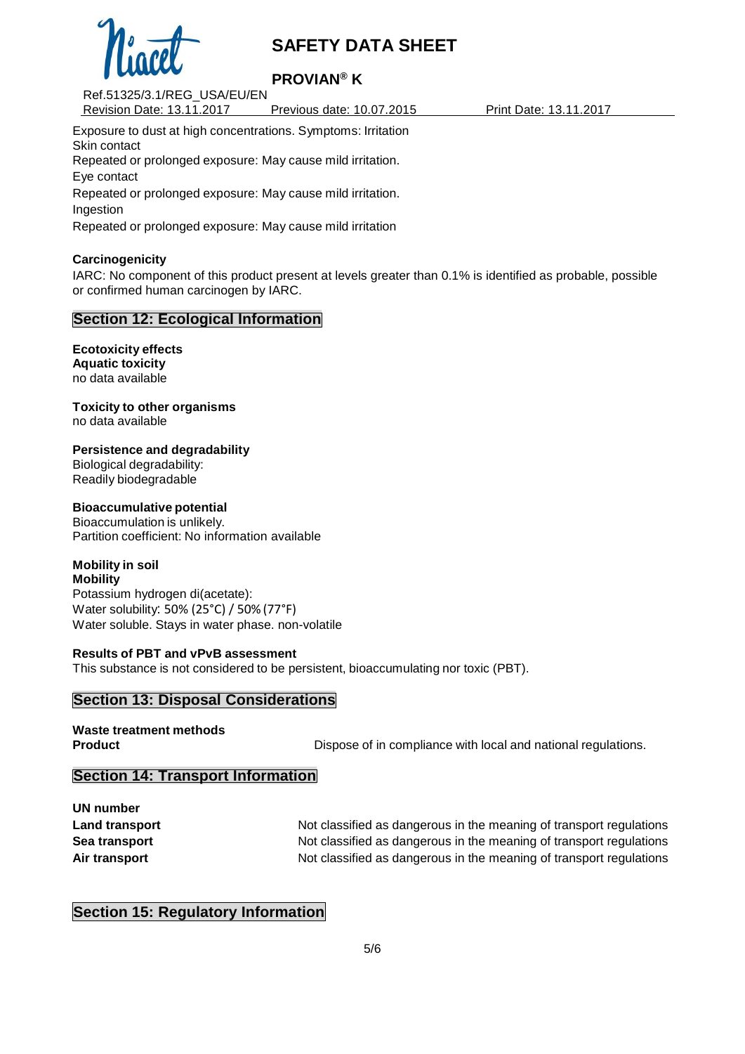

# **PROVIAN® K**

Ref.51325/3.1/REG\_USA/EU/EN Revision Date: 13.11.2017 Previous date: 10.07.2015 Print Date: 13.11.2017

Exposure to dust at high concentrations. Symptoms: Irritation Skin contact Repeated or prolonged exposure: May cause mild irritation. Eye contact Repeated or prolonged exposure: May cause mild irritation. Ingestion Repeated or prolonged exposure: May cause mild irritation

### **Carcinogenicity**

IARC: No component of this product present at levels greater than 0.1% is identified as probable, possible or confirmed human carcinogen by IARC.

## **Section 12: Ecological Information**

**Ecotoxicity effects Aquatic toxicity** no data available

**Toxicity to other organisms** no data available

**Persistence and degradability**

Biological degradability: Readily biodegradable

#### **Bioaccumulative potential**

Bioaccumulation is unlikely. Partition coefficient: No information available

# **Mobility in soil**

**Mobility** Potassium hydrogen di(acetate): Water solubility: 50% (25°C) / 50% (77°F) Water soluble. Stays in water phase. non-volatile

#### **Results of PBT and vPvB assessment**

This substance is not considered to be persistent, bioaccumulating nor toxic (PBT).

## **Section 13: Disposal Considerations**

**Waste treatment methods**

**Product Product Dispose of in compliance with local and national regulations.** 

## **Section 14: Transport Information**

**UN number**

**Land transport Not classified as dangerous in the meaning of transport regulations Sea transport** Not classified as dangerous in the meaning of transport regulations **Air transport** Not classified as dangerous in the meaning of transport regulations

## **Section 15: Regulatory Information**